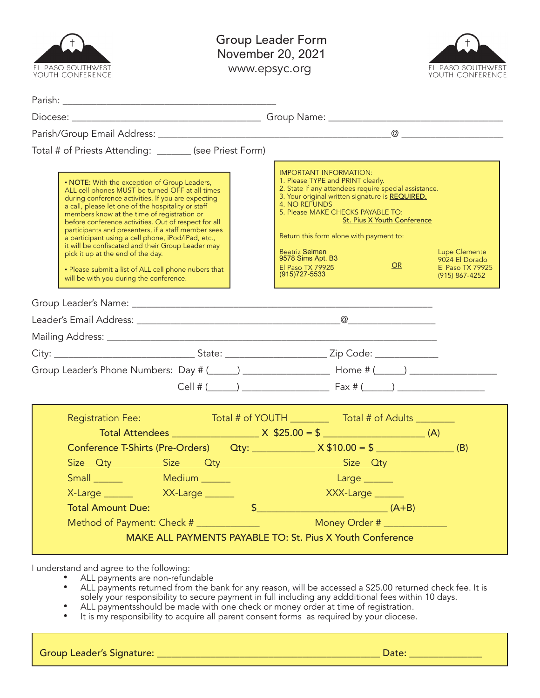| EL PASO SOUTHWEST<br>youth conference                                                                                                                                                                                                                                                                                                                                                                                                                                                                                                                                                                                                                                                   | <b>Group Leader Form</b><br>November 20, 2021<br>EL PASO SOUTHWEST<br>www.epsyc.org<br>YOUTH CONFERENCE                                                                                                                                                                                                                                                                                                                                                                                               |
|-----------------------------------------------------------------------------------------------------------------------------------------------------------------------------------------------------------------------------------------------------------------------------------------------------------------------------------------------------------------------------------------------------------------------------------------------------------------------------------------------------------------------------------------------------------------------------------------------------------------------------------------------------------------------------------------|-------------------------------------------------------------------------------------------------------------------------------------------------------------------------------------------------------------------------------------------------------------------------------------------------------------------------------------------------------------------------------------------------------------------------------------------------------------------------------------------------------|
|                                                                                                                                                                                                                                                                                                                                                                                                                                                                                                                                                                                                                                                                                         |                                                                                                                                                                                                                                                                                                                                                                                                                                                                                                       |
|                                                                                                                                                                                                                                                                                                                                                                                                                                                                                                                                                                                                                                                                                         |                                                                                                                                                                                                                                                                                                                                                                                                                                                                                                       |
|                                                                                                                                                                                                                                                                                                                                                                                                                                                                                                                                                                                                                                                                                         |                                                                                                                                                                                                                                                                                                                                                                                                                                                                                                       |
| Total # of Priests Attending: _______ (see Priest Form)<br>• NOTE: With the exception of Group Leaders,<br>ALL cell phones MUST be turned OFF at all times<br>during conference activities. If you are expecting<br>a call, please let one of the hospitality or staff<br>members know at the time of registration or<br>before conference activities. Out of respect for all<br>participants and presenters, if a staff member sees<br>a participant using a cell phone, iPod/iPad, etc.,<br>it will be confiscated and their Group Leader may<br>pick it up at the end of the day.<br>• Please submit a list of ALL cell phone nubers that<br>will be with you during the conference. | <b>IMPORTANT INFORMATION:</b><br>1. Please TYPE and PRINT clearly.<br>2. State if any attendees require special assistance.<br>3. Your original written signature is REQUIRED.<br>4. NO REFUNDS<br>5. Please MAKE CHECKS PAYABLE TO:<br>St. Pius X Youth Conference<br>Return this form alone with payment to:<br><b>Beatriz Seimen</b><br><b>Lupe Clemente</b><br>9578 Sims Apt. B3<br>9024 El Dorado<br>OR<br><b>El Paso TX 79925</b><br>El Paso TX 79925<br>$(915)$ 727-5533<br>$(915) 867 - 4252$ |
|                                                                                                                                                                                                                                                                                                                                                                                                                                                                                                                                                                                                                                                                                         |                                                                                                                                                                                                                                                                                                                                                                                                                                                                                                       |
|                                                                                                                                                                                                                                                                                                                                                                                                                                                                                                                                                                                                                                                                                         |                                                                                                                                                                                                                                                                                                                                                                                                                                                                                                       |
|                                                                                                                                                                                                                                                                                                                                                                                                                                                                                                                                                                                                                                                                                         |                                                                                                                                                                                                                                                                                                                                                                                                                                                                                                       |
|                                                                                                                                                                                                                                                                                                                                                                                                                                                                                                                                                                                                                                                                                         |                                                                                                                                                                                                                                                                                                                                                                                                                                                                                                       |
| <b>Registration Fee:</b><br>Small Medium<br>X-Large XX-Large<br><b>Total Amount Due:</b><br>Method of Payment: Check # ______________                                                                                                                                                                                                                                                                                                                                                                                                                                                                                                                                                   | Total # of YOUTH ________<br>Total # of Adults ________<br>Conference T-Shirts (Pre-Orders) $Qty:$ $\frac{dy}{dx}$ $X $10.00 = $$ (B)<br>$Large \_$<br>XXX-Large<br>$\sqrt[3]{}$ $(A+B)$<br>Money Order # _____________<br>MAKE ALL PAYMENTS PAYABLE TO: St. Pius X Youth Conference                                                                                                                                                                                                                  |

I understand and agree to the following:

- ALL payments are non-refundable<br>• ALL payments returned from the b
	- ALL payments returned from the bank for any reason, will be accessed a \$25.00 returned check fee. It is solely your responsibility to secure payment in full including any addditional fees within 10 days.
- ALL paymentsshould be made with one check or money order at time of registration.
- It is my responsibility to acquire all parent consent forms as required by your diocese.

Group Leader's Signature: \_\_\_\_\_\_\_\_\_\_\_\_\_\_\_\_\_\_\_\_\_\_\_\_\_\_\_\_\_\_\_\_\_\_\_\_\_\_\_\_\_\_\_\_\_\_ Date: \_\_\_\_\_\_\_\_\_\_\_\_\_\_\_